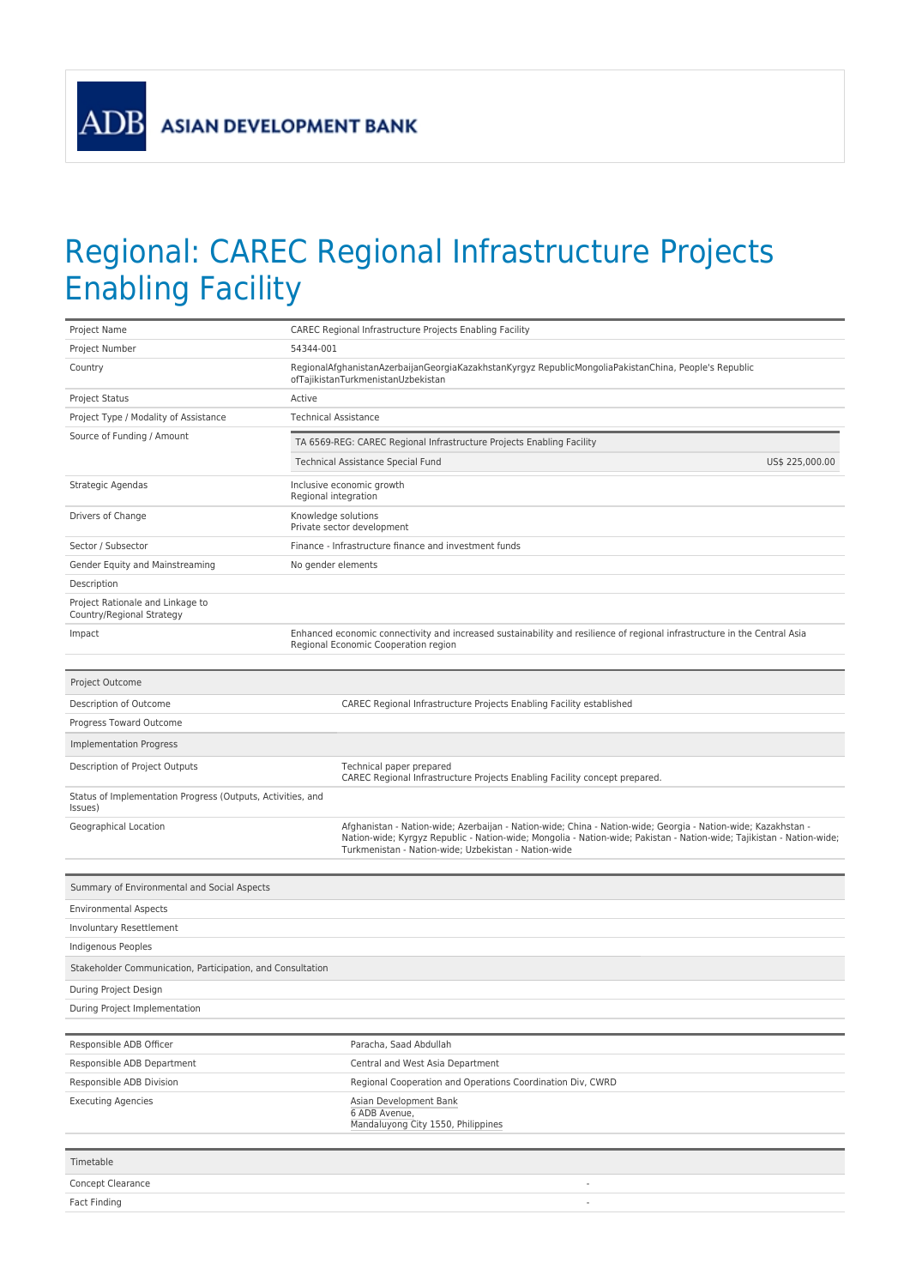**ADB** 

## Regional: CAREC Regional Infrastructure Projects Enabling Facility

| Project Name                                                           | CAREC Regional Infrastructure Projects Enabling Facility                                                                                                                                                                                                                                       |  |  |  |  |  |
|------------------------------------------------------------------------|------------------------------------------------------------------------------------------------------------------------------------------------------------------------------------------------------------------------------------------------------------------------------------------------|--|--|--|--|--|
| Project Number                                                         | 54344-001                                                                                                                                                                                                                                                                                      |  |  |  |  |  |
| Country                                                                | RegionalAfghanistanAzerbaijanGeorgiaKazakhstanKyrgyz RepublicMongoliaPakistanChina, People's Republic<br>ofTajikistanTurkmenistanUzbekistan                                                                                                                                                    |  |  |  |  |  |
| Project Status                                                         | Active                                                                                                                                                                                                                                                                                         |  |  |  |  |  |
| Project Type / Modality of Assistance                                  | <b>Technical Assistance</b>                                                                                                                                                                                                                                                                    |  |  |  |  |  |
| Source of Funding / Amount                                             | TA 6569-REG: CAREC Regional Infrastructure Projects Enabling Facility                                                                                                                                                                                                                          |  |  |  |  |  |
|                                                                        | Technical Assistance Special Fund<br>US\$ 225,000.00                                                                                                                                                                                                                                           |  |  |  |  |  |
| Strategic Agendas                                                      | Inclusive economic growth<br>Regional integration                                                                                                                                                                                                                                              |  |  |  |  |  |
| Drivers of Change                                                      | Knowledge solutions<br>Private sector development                                                                                                                                                                                                                                              |  |  |  |  |  |
| Sector / Subsector                                                     | Finance - Infrastructure finance and investment funds                                                                                                                                                                                                                                          |  |  |  |  |  |
| Gender Equity and Mainstreaming                                        | No gender elements                                                                                                                                                                                                                                                                             |  |  |  |  |  |
| Description                                                            |                                                                                                                                                                                                                                                                                                |  |  |  |  |  |
| Project Rationale and Linkage to<br>Country/Regional Strategy          |                                                                                                                                                                                                                                                                                                |  |  |  |  |  |
| Impact                                                                 | Enhanced economic connectivity and increased sustainability and resilience of regional infrastructure in the Central Asia<br>Regional Economic Cooperation region                                                                                                                              |  |  |  |  |  |
| Project Outcome                                                        |                                                                                                                                                                                                                                                                                                |  |  |  |  |  |
|                                                                        |                                                                                                                                                                                                                                                                                                |  |  |  |  |  |
| Description of Outcome<br>Progress Toward Outcome                      | CAREC Regional Infrastructure Projects Enabling Facility established                                                                                                                                                                                                                           |  |  |  |  |  |
|                                                                        |                                                                                                                                                                                                                                                                                                |  |  |  |  |  |
| <b>Implementation Progress</b>                                         |                                                                                                                                                                                                                                                                                                |  |  |  |  |  |
| Description of Project Outputs                                         | Technical paper prepared<br>CAREC Regional Infrastructure Projects Enabling Facility concept prepared.                                                                                                                                                                                         |  |  |  |  |  |
| Status of Implementation Progress (Outputs, Activities, and<br>Issues) |                                                                                                                                                                                                                                                                                                |  |  |  |  |  |
| Geographical Location                                                  | Afghanistan - Nation-wide; Azerbaijan - Nation-wide; China - Nation-wide; Georgia - Nation-wide; Kazakhstan -<br>Nation-wide; Kyrgyz Republic - Nation-wide; Mongolia - Nation-wide; Pakistan - Nation-wide; Tajikistan - Nation-wide;<br>Turkmenistan - Nation-wide; Uzbekistan - Nation-wide |  |  |  |  |  |
|                                                                        |                                                                                                                                                                                                                                                                                                |  |  |  |  |  |
| Summary of Environmental and Social Aspects                            |                                                                                                                                                                                                                                                                                                |  |  |  |  |  |
| <b>Environmental Aspects</b>                                           |                                                                                                                                                                                                                                                                                                |  |  |  |  |  |
| Involuntary Resettlement                                               |                                                                                                                                                                                                                                                                                                |  |  |  |  |  |
| Indigenous Peoples                                                     |                                                                                                                                                                                                                                                                                                |  |  |  |  |  |
| Stakeholder Communication, Participation, and Consultation             |                                                                                                                                                                                                                                                                                                |  |  |  |  |  |
| During Project Design                                                  |                                                                                                                                                                                                                                                                                                |  |  |  |  |  |
| During Project Implementation                                          |                                                                                                                                                                                                                                                                                                |  |  |  |  |  |
| Responsible ADB Officer                                                | Paracha, Saad Abdullah                                                                                                                                                                                                                                                                         |  |  |  |  |  |
| Responsible ADB Department                                             | Central and West Asia Department                                                                                                                                                                                                                                                               |  |  |  |  |  |
| Responsible ADB Division                                               | Regional Cooperation and Operations Coordination Div, CWRD                                                                                                                                                                                                                                     |  |  |  |  |  |
| <b>Executing Agencies</b>                                              | Asian Development Bank<br>6 ADB Avenue,<br>Mandaluyong City 1550, Philippines                                                                                                                                                                                                                  |  |  |  |  |  |
| Timetable                                                              |                                                                                                                                                                                                                                                                                                |  |  |  |  |  |
| Concept Clearance                                                      |                                                                                                                                                                                                                                                                                                |  |  |  |  |  |
| Fact Finding                                                           |                                                                                                                                                                                                                                                                                                |  |  |  |  |  |
|                                                                        |                                                                                                                                                                                                                                                                                                |  |  |  |  |  |